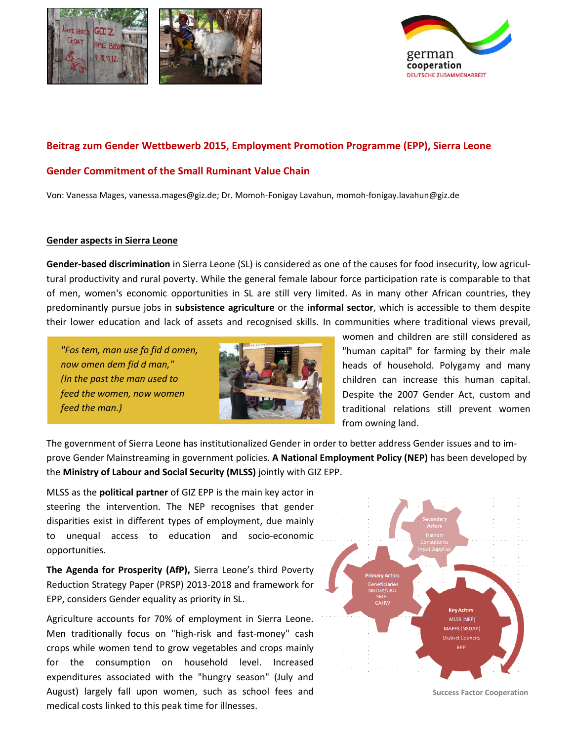



## **Beitrag zum Gender Wettbewerb 2015, Employment Promotion Programme (EPP), Sierra Leone**

#### **Gender Commitment of the Small Ruminant Value Chain**

Von: Vanessa Mages, [vanessa.mages@giz.de;](mailto:vanessa.mages@giz.de) Dr. Momoh-Fonigay Lavahun[, momoh-fonigay.lavahun@giz.de](mailto:momoh-fonigay.lavahun@giz.de)

#### **Gender aspects in Sierra Leone**

**Gender-based discrimination** in Sierra Leone (SL) is considered as one of the causes for food insecurity, low agricultural productivity and rural poverty. While the general female labour force participation rate is comparable to that of men, women's economic opportunities in SL are still very limited. As in many other African countries, they predominantly pursue jobs in **subsistence agriculture** or the **informal sector**, which is accessible to them despite their lower education and lack of assets and recognised skills. In communities where traditional views prevail,

*"Fos tem, man use fo fid d omen, now omen dem fid d man," (In the past the man used to feed the women, now women feed the man.)* 



women and children are still considered as "human capital" for farming by their male heads of household. Polygamy and many children can increase this human capital. Despite the 2007 Gender Act, custom and traditional relations still prevent women from owning land.

The government of Sierra Leone has institutionalized Gender in order to better address Gender issues and to improve Gender Mainstreaming in government policies. **A National Employment Policy (NEP)** has been developed by the **Ministry of Labour and Social Security (MLSS)** jointly with GIZ EPP.

MLSS as the **political partner** of GIZ EPP is the main key actor in steering the intervention. The NEP recognises that gender disparities exist in different types of employment, due mainly to unequal access to education and socio-economic opportunities.

**The Agenda for Prosperity (AfP),** Sierra Leone's third Poverty Reduction Strategy Paper (PRSP) 2013-2018 and framework for EPP, considers Gender equality as priority in SL.

Agriculture accounts for 70% of employment in Sierra Leone. Men traditionally focus on "high-risk and fast-money" cash crops while women tend to grow vegetables and crops mainly for the consumption on household level. Increased expenditures associated with the "hungry season" (July and August) largely fall upon women, such as school fees and medical costs linked to this peak time for illnesses.



**Success Factor Cooperation**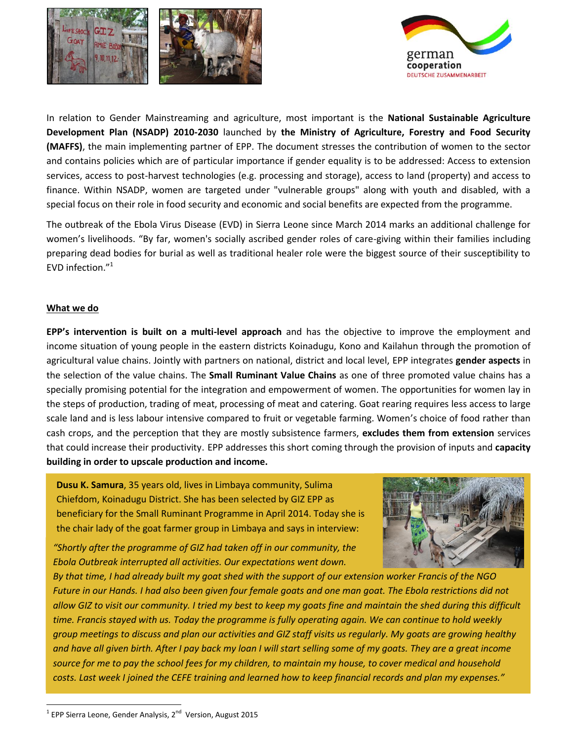



In relation to Gender Mainstreaming and agriculture, most important is the **National Sustainable Agriculture Development Plan (NSADP) 2010-2030** launched by **the Ministry of Agriculture, Forestry and Food Security (MAFFS)**, the main implementing partner of EPP. The document stresses the contribution of women to the sector and contains policies which are of particular importance if gender equality is to be addressed: Access to extension services, access to post-harvest technologies (e.g. processing and storage), access to land (property) and access to finance. Within NSADP, women are targeted under "vulnerable groups" along with youth and disabled, with a special focus on their role in food security and economic and social benefits are expected from the programme.

The outbreak of the Ebola Virus Disease (EVD) in Sierra Leone since March 2014 marks an additional challenge for women's livelihoods. "By far, women's socially ascribed gender roles of care-giving within their families including preparing dead bodies for burial as well as traditional healer role were the biggest source of their susceptibility to EVD infection."<sup>1</sup>

## **What we do**

 $\ddot{\phantom{a}}$ 

**EPP's intervention is built on a multi-level approach** and has the objective to improve the employment and income situation of young people in the eastern districts Koinadugu, Kono and Kailahun through the promotion of agricultural value chains. Jointly with partners on national, district and local level, EPP integrates **gender aspects** in the selection of the value chains. The **Small Ruminant Value Chains** as one of three promoted value chains has a specially promising potential for the integration and empowerment of women. The opportunities for women lay in the steps of production, trading of meat, processing of meat and catering. Goat rearing requires less access to large scale land and is less labour intensive compared to fruit or vegetable farming. Women's choice of food rather than cash crops, and the perception that they are mostly subsistence farmers, **excludes them from extension** services that could increase their productivity. EPP addresses this short coming through the provision of inputs and **capacity building in order to upscale production and income.**

**Dusu K. Samura**, 35 years old, lives in Limbaya community, Sulima Chiefdom, Koinadugu District. She has been selected by GIZ EPP as beneficiary for the Small Ruminant Programme in April 2014. Today she is the chair lady of the goat farmer group in Limbaya and says in interview:

*"Shortly after the programme of GIZ had taken off in our community, the Ebola Outbreak interrupted all activities. Our expectations went down.* 



*By that time, I had already built my goat shed with the support of our extension worker Francis of the NGO Future in our Hands. I had also been given four female goats and one man goat. The Ebola restrictions did not allow GIZ to visit our community. I tried my best to keep my goats fine and maintain the shed during this difficult time. Francis stayed with us. Today the programme is fully operating again. We can continue to hold weekly group meetings to discuss and plan our activities and GIZ staff visits us regularly. My goats are growing healthy and have all given birth. After I pay back my loan I will start selling some of my goats. They are a great income source for me to pay the school fees for my children, to maintain my house, to cover medical and household costs. Last week I joined the CEFE training and learned how to keep financial records and plan my expenses."*

 $1$  EPP Sierra Leone, Gender Analysis, 2<sup>nd</sup> Version, August 2015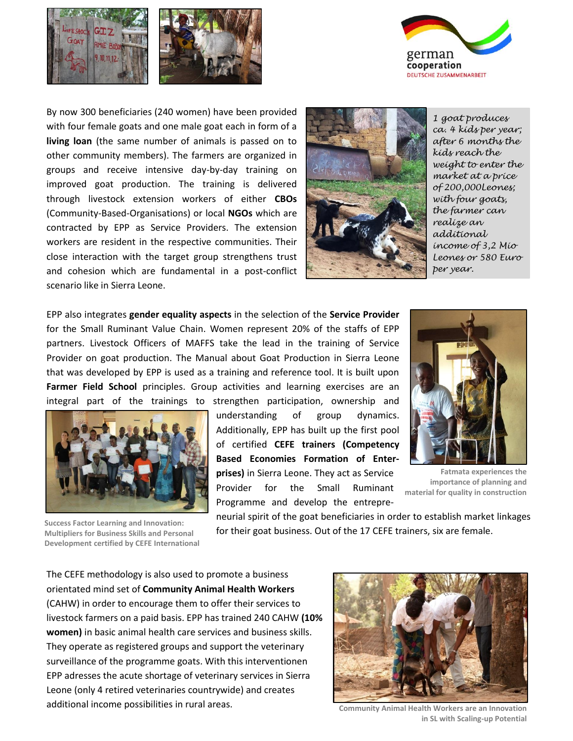



By now 300 beneficiaries (240 women) have been provided with four female goats and one male goat each in form of a **living loan** (the same number of animals is passed on to other community members). The farmers are organized in groups and receive intensive day-by-day training on improved goat production. The training is delivered through livestock extension workers of either **CBOs** (Community-Based-Organisations) or local **NGOs** which are contracted by EPP as Service Providers. The extension workers are resident in the respective communities. Their close interaction with the target group strengthens trust and cohesion which are fundamental in a post-conflict scenario like in Sierra Leone.



*1 goat produces ca. 4 kids per year; after 6 months the kids reach the weight to enter the market at a price of 200,000Leones; with four goats, the farmer can realize an additional income of 3,2 Mio Leones or 580 Euro per year.*

EPP also integrates **gender equality aspects** in the selection of the **Service Provider**  for the Small Ruminant Value Chain. Women represent 20% of the staffs of EPP partners. Livestock Officers of MAFFS take the lead in the training of Service Provider on goat production. The Manual about Goat Production in Sierra Leone that was developed by EPP is used as a training and reference tool. It is built upon **Farmer Field School** principles. Group activities and learning exercises are an integral part of the trainings to strengthen participation, ownership and



**Success Factor Learning and Innovation: Multipliers for Business Skills and Personal Development certified by CEFE International**

understanding of group dynamics. Additionally, EPP has built up the first pool of certified **CEFE trainers (Competency Based Economies Formation of Enterprises)** in Sierra Leone. They act as Service Provider for the Small Ruminant Programme and develop the entrepre-



**Fatmata experiences the importance of planning and material for quality in construction**

neurial spirit of the goat beneficiaries in order to establish market linkages for their goat business. Out of the 17 CEFE trainers, six are female.

The CEFE methodology is also used to promote a business orientated mind set of **Community Animal Health Workers** (CAHW) in order to encourage them to offer their services to livestock farmers on a paid basis. EPP has trained 240 CAHW **(10% women)** in basic animal health care services and business skills. They operate as registered groups and support the veterinary surveillance of the programme goats. With this interventionen EPP adresses the acute shortage of veterinary services in Sierra Leone (only 4 retired veterinaries countrywide) and creates additional income possibilities in rural areas.



**Community Animal Health Workers are an Innovation in SL with Scaling-up Potential**